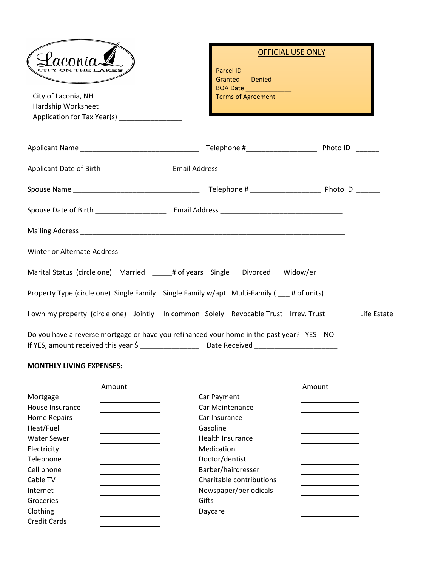| aconid<br>CITY ON THE LAKES                                                                | <b>OFFICIAL USE ONLY</b><br>Granted Denied |
|--------------------------------------------------------------------------------------------|--------------------------------------------|
| City of Laconia, NH<br>Hardship Worksheet<br>Application for Tax Year(s) ________________  |                                            |
|                                                                                            |                                            |
|                                                                                            |                                            |
|                                                                                            |                                            |
|                                                                                            |                                            |
|                                                                                            |                                            |
|                                                                                            |                                            |
| Marital Status (circle one) Married ______# of years Single Divorced Widow/er              |                                            |
| Property Type (circle one) Single Family Single Family w/apt Multi-Family (  = # of units) |                                            |
| I own my property (circle one) Jointly In common Solely Revocable Trust Irrev. Trust       | Life Estate                                |
| Do you have a reverse mortgage or have you refinanced your home in the past year? YES NO   |                                            |

## **MONTHLY LIVING EXPENSES:**

|                     | Amount |                          | Amount |
|---------------------|--------|--------------------------|--------|
| Mortgage            |        | Car Payment              |        |
| House Insurance     |        | Car Maintenance          |        |
| Home Repairs        |        | Car Insurance            |        |
| Heat/Fuel           |        | Gasoline                 |        |
| <b>Water Sewer</b>  |        | <b>Health Insurance</b>  |        |
| Electricity         |        | Medication               |        |
| Telephone           |        | Doctor/dentist           |        |
| Cell phone          |        | Barber/hairdresser       |        |
| Cable TV            |        | Charitable contributions |        |
| Internet            |        | Newspaper/periodicals    |        |
| Groceries           |        | Gifts                    |        |
| Clothing            |        | Daycare                  |        |
| <b>Credit Cards</b> |        |                          |        |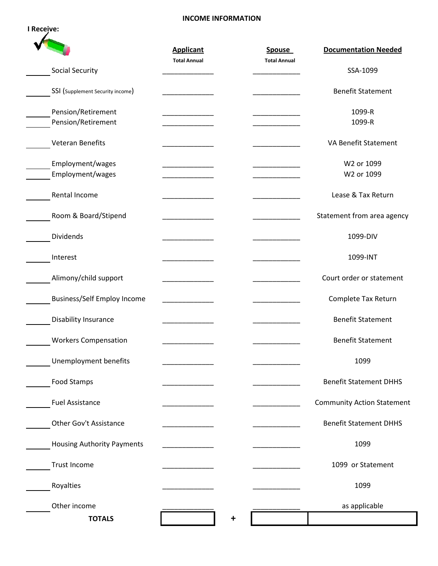## **INCOME INFORMATION**

|                                    | <b>Applicant</b>    | <b>Spouse</b>       | <b>Documentation Needed</b>       |
|------------------------------------|---------------------|---------------------|-----------------------------------|
|                                    | <b>Total Annual</b> | <b>Total Annual</b> |                                   |
| Social Security                    |                     |                     | SSA-1099                          |
| SSI (Supplement Security income)   |                     |                     | <b>Benefit Statement</b>          |
| Pension/Retirement                 |                     |                     | 1099-R                            |
| Pension/Retirement                 |                     |                     | 1099-R                            |
| Veteran Benefits                   |                     |                     | VA Benefit Statement              |
| Employment/wages                   |                     |                     | W2 or 1099                        |
| Employment/wages                   |                     |                     | W2 or 1099                        |
| Rental Income                      |                     |                     | Lease & Tax Return                |
| Room & Board/Stipend               |                     |                     | Statement from area agency        |
| <b>Dividends</b>                   |                     |                     | 1099-DIV                          |
| Interest                           |                     |                     | 1099-INT                          |
| Alimony/child support              |                     |                     | Court order or statement          |
| <b>Business/Self Employ Income</b> |                     |                     | Complete Tax Return               |
| Disability Insurance               |                     |                     | <b>Benefit Statement</b>          |
| <b>Workers Compensation</b>        |                     |                     | <b>Benefit Statement</b>          |
| Unemployment benefits              |                     |                     | 1099                              |
| <b>Food Stamps</b>                 |                     |                     | <b>Benefit Statement DHHS</b>     |
| <b>Fuel Assistance</b>             |                     |                     | <b>Community Action Statement</b> |
| Other Gov't Assistance             |                     |                     | <b>Benefit Statement DHHS</b>     |
| <b>Housing Authority Payments</b>  |                     |                     | 1099                              |
| <b>Trust Income</b>                |                     |                     | 1099 or Statement                 |
| Royalties                          |                     |                     | 1099                              |
| Other income                       |                     |                     | as applicable                     |
| <b>TOTALS</b>                      |                     |                     |                                   |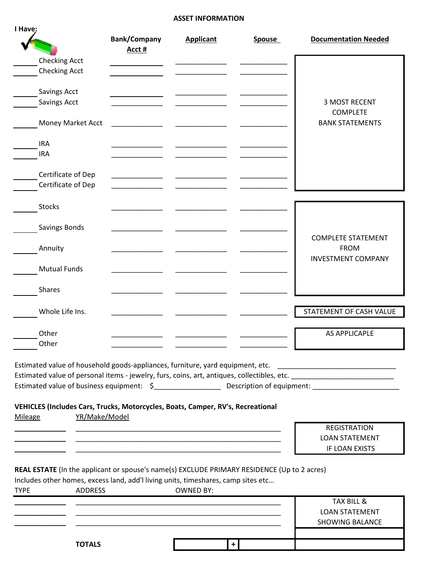## **ASSET INFORMATION**

| I Have:                                                                                     |                                                                                                                       |                  |               |                             |
|---------------------------------------------------------------------------------------------|-----------------------------------------------------------------------------------------------------------------------|------------------|---------------|-----------------------------|
|                                                                                             | <b>Bank/Company</b><br>Acct #                                                                                         | <b>Applicant</b> | <b>Spouse</b> | <b>Documentation Needed</b> |
| <b>Checking Acct</b>                                                                        |                                                                                                                       |                  |               |                             |
| <b>Checking Acct</b>                                                                        |                                                                                                                       |                  |               |                             |
|                                                                                             |                                                                                                                       |                  |               |                             |
| Savings Acct                                                                                |                                                                                                                       |                  |               |                             |
| <b>Savings Acct</b>                                                                         |                                                                                                                       |                  |               | <b>3 MOST RECENT</b>        |
|                                                                                             |                                                                                                                       |                  |               | <b>COMPLETE</b>             |
| Money Market Acct                                                                           |                                                                                                                       |                  |               | <b>BANK STATEMENTS</b>      |
|                                                                                             |                                                                                                                       |                  |               |                             |
| <b>IRA</b>                                                                                  |                                                                                                                       |                  |               |                             |
| <b>IRA</b>                                                                                  |                                                                                                                       |                  |               |                             |
| Certificate of Dep                                                                          |                                                                                                                       |                  |               |                             |
| Certificate of Dep                                                                          |                                                                                                                       |                  |               |                             |
|                                                                                             |                                                                                                                       |                  |               |                             |
| <b>Stocks</b>                                                                               |                                                                                                                       |                  |               |                             |
|                                                                                             |                                                                                                                       |                  |               |                             |
| Savings Bonds                                                                               |                                                                                                                       |                  |               |                             |
|                                                                                             |                                                                                                                       |                  |               | <b>COMPLETE STATEMENT</b>   |
| Annuity                                                                                     |                                                                                                                       |                  |               | <b>FROM</b>                 |
|                                                                                             |                                                                                                                       |                  |               | <b>INVESTMENT COMPANY</b>   |
| <b>Mutual Funds</b>                                                                         |                                                                                                                       |                  |               |                             |
|                                                                                             |                                                                                                                       |                  |               |                             |
| <b>Shares</b>                                                                               |                                                                                                                       |                  |               |                             |
|                                                                                             |                                                                                                                       |                  |               |                             |
| Whole Life Ins.                                                                             |                                                                                                                       |                  |               | STATEMENT OF CASH VALUE     |
|                                                                                             |                                                                                                                       |                  |               |                             |
| Other                                                                                       |                                                                                                                       |                  |               | <b>AS APPLICAPLE</b>        |
| Other                                                                                       |                                                                                                                       |                  |               |                             |
|                                                                                             |                                                                                                                       |                  |               |                             |
| Estimated value of household goods-appliances, furniture, yard equipment, etc.              |                                                                                                                       |                  |               |                             |
|                                                                                             |                                                                                                                       |                  |               |                             |
|                                                                                             |                                                                                                                       |                  |               |                             |
|                                                                                             |                                                                                                                       |                  |               |                             |
| VEHICLES (Includes Cars, Trucks, Motorcycles, Boats, Camper, RV's, Recreational             |                                                                                                                       |                  |               |                             |
| YR/Make/Model<br>Mileage                                                                    |                                                                                                                       |                  |               |                             |
|                                                                                             |                                                                                                                       |                  |               | <b>REGISTRATION</b>         |
|                                                                                             |                                                                                                                       |                  |               | <b>LOAN STATEMENT</b>       |
|                                                                                             | <u> 1989 - Johann John Stoff, deutscher Stoffen und der Stoffen und der Stoffen und der Stoffen und der Stoffen u</u> |                  |               | IF LOAN EXISTS              |
|                                                                                             |                                                                                                                       |                  |               |                             |
| REAL ESTATE (In the applicant or spouse's name(s) EXCLUDE PRIMARY RESIDENCE (Up to 2 acres) |                                                                                                                       |                  |               |                             |
| Includes other homes, excess land, add'l living units, timeshares, camp sites etc           |                                                                                                                       |                  |               |                             |
| <b>ADDRESS</b><br><b>TYPE</b>                                                               |                                                                                                                       | <b>OWNED BY:</b> |               |                             |
|                                                                                             |                                                                                                                       |                  |               | TAX BILL &                  |
|                                                                                             |                                                                                                                       |                  |               | <b>LOAN STATEMENT</b>       |
|                                                                                             |                                                                                                                       |                  |               | <b>SHOWING BALANCE</b>      |
|                                                                                             |                                                                                                                       |                  |               |                             |
| <b>TOTALS</b>                                                                               |                                                                                                                       | $+$              |               |                             |